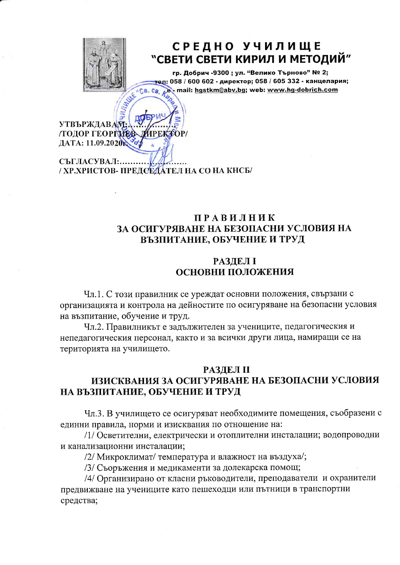

# СРЕДНО УЧИЛИЩЕ "СВЕТИ СВЕТИ КИРИЛ И МЕТОДИЙ"

гр. Добрич -9300 ; ул. "Велико Търново" № 2; WE'LL GB. CB. R гел: 058 / 600 602 - директор; 058 / 605 332 - канцелария; mail: hgstkm@abv.bg; web: www.hg-dobrich.com

**УТВЪРЖДАВАМ IPEKTOP /ТОДОР ГЕОРГИЕВ** ДАТА: 11.09.2020

СЪГЛАСУВАЛ:.. / ХР.ХРИСТОВ- ПРЕДСЕДАТЕЛ НА СО НА КНСБ/

### **ПРАВИЛНИК** ЗА ОСИГУРЯВАНЕ НА БЕЗОПАСНИ УСЛОВИЯ НА ВЪЗПИТАНИЕ, ОБУЧЕНИЕ И ТРУД

### **РАЗДЕЛ I ОСНОВНИ ПОЛОЖЕНИЯ**

Чл.1. С този правилник се уреждат основни положения, свързани с организацията и контрола на дейностите по осигуряване на безопасни условия на възпитание, обучение и труд.

Чл.2. Правилникът е задължителен за учениците, педагогическия и непедагогическия персонал, както и за всички други лица, намиращи се на територията на училището.

### **РАЗДЕЛ II**

## ИЗИСКВАНИЯ ЗА ОСИГУРЯВАНЕ НА БЕЗОПАСНИ УСЛОВИЯ НА ВЪЗПИТАНИЕ, ОБУЧЕНИЕ И ТРУД

Чл.3. В училището се осигуряват необходимите помещения, съобразени с единни правила, норми и изисквания по отношение на:

/1/ Осветителни, електрически и отоплителни инсталации; водопроводни и канализационни инсталации;

/2/ Микроклимат/ температура и влажност на въздуха/;

/3/ Съоръжения и медикаменти за долекарска помощ;

/4/ Организирано от класни ръководители, преподаватели и охранители предвижване на учениците като пешеходци или пътници в транспортни средства;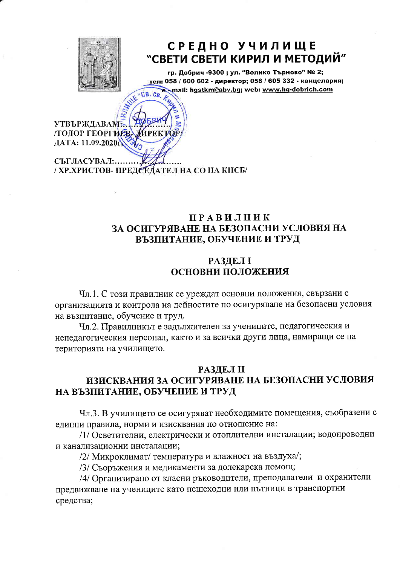

# СРЕДНО УЧИЛИЩЕ "СВЕТИ СВЕТИ КИРИЛ И МЕТОДИЙ"

гр. Добрич -9300 ; ул. "Велико Търново" № 2; тел: 058 / 600 602 - директор; 058 / 605 332 - канцелария; mail: hgstkm@abv.bg; web: www.hg-dobrich.com **CB.CB** 

MAMILK **УТВЪРЖДАВАМ: /ТОДОР ГЕОРГИЕВ-APEKTOL SH3** ДАТА: 11.09.2020

СЪГЛАСУВАЛ:. / ХР.ХРИСТОВ- ПРЕДСЕДАТЕЛ НА СО НА КНСБ/

#### **ПРАВИЛНИК** ЗА ОСИГУРЯВАНЕ НА БЕЗОПАСНИ УСЛОВИЯ НА ВЪЗПИТАНИЕ, ОБУЧЕНИЕ И ТРУД

### **РАЗДЕЛ I ОСНОВНИ ПОЛОЖЕНИЯ**

Чл.1. С този правилник се уреждат основни положения, свързани с организацията и контрола на дейностите по осигуряване на безопасни условия на възпитание, обучение и труд.

Чл.2. Правилникът е задължителен за учениците, педагогическия и непедагогическия персонал, както и за всички други лица, намиращи се на територията на училището.

### **РАЗДЕЛ II** ИЗИСКВАНИЯ ЗА ОСИГУРЯВАНЕ НА БЕЗОПАСНИ УСЛОВИЯ НА ВЪЗПИТАНИЕ, ОБУЧЕНИЕ И ТРУД

Чл.3. В училището се осигуряват необходимите помещения, съобразени с единни правила, норми и изисквания по отношение на:

/1/ Осветителни, електрически и отоплителни инсталации; водопроводни и канализационни инсталации;

/2/ Микроклимат/ температура и влажност на въздуха/;

/3/ Съоръжения и медикаменти за долекарска помощ;

/4/ Организирано от класни ръководители, преподаватели и охранители предвижване на учениците като пешеходци или пътници в транспортни средства;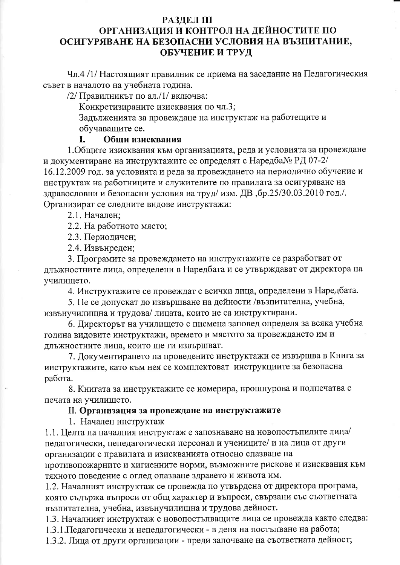#### **РАЗДЕЛ III**

## ОРГАНИЗАЦИЯ И КОНТРОЛ НА ДЕЙНОСТИТЕ ПО ОСИГУРЯВАНЕ НА БЕЗОПАСНИ УСЛОВИЯ НА ВЪЗПИТАНИЕ, ОБУЧЕНИЕ И ТРУД

Чл.4 /1/ Настоящият правилник се приема на заседание на Педагогическия съвет в началото на учебната година.

/2/ Правилникът по ал./1/ включва:

Конкретизираните изисквания по чл.3;

Задълженията за провеждане на инструктаж на работещите и обучаващите се.

#### I. Обши изисквания

1. Общите изисквания към организацията, реда и условията за провеждане и документиране на инструктажите се определят с Наредба $N_2$  РД 07-2/ 16.12.2009 год. за условията и реда за провеждането на периодично обучение и инструктаж на работниците и служителите по правилата за осигуряване на здравословни и безопасни условия на труд/изм. ДВ, бр.25/30.03.2010 год./. Организират се следните видове инструктажи:

2.1. Начален;

2.2. На работното място;

2.3. Периодичен;

2.4. Извънреден;

3. Програмите за провеждането на инструктажите се разработват от длъжностните лица, определени в Наредбата и се утвърждават от директора на училището.

4. Инструктажите се провеждат с всички лица, определени в Наредбата.

5. Не се допускат до извършване на дейности /възпитателна, учебна, извънучилищна и трудова/лицата, които не са инструктирани.

6. Директорът на училището с писмена заповед определя за всяка учебна година видовите инструктажи, времето и мястото за провеждането им и длъжностните лица, които ще ги извършват.

7. Документирането на проведените инструктажи се извършва в Книга за инструктажите, като към нея се комплектоват инструкциите за безопасна работа.

8. Книгата за инструктажите се номерира, прошнурова и подпечатва с печата на училището.

#### II. Организация за провеждане на инструктажите

1. Начален инструктаж

1.1. Целта на началния инструктаж е запознаване на новопостъпилите лица/ педагогически, непедагогически персонал и учениците/ и на лица от други организации с правилата и изискванията относно спазване на

противопожарните и хигиенните норми, възможните рискове и изисквания към тяхното поведение с оглед опазване здравето и живота им.

1.2. Началният инструктаж се провежда по утвърдена от директора програма, която съдържа въпроси от общ характер и въпроси, свързани със съответната възпитателна, учебна, извънучилищна и трудова дейност.

1.3. Началният инструктаж с новопостъпващите лица се провежда както следва:

1.3.1. Педагогически и непедагогически - в деня на постъпване на работа;

1.3.2. Лица от други организации - преди започване на съответната дейност;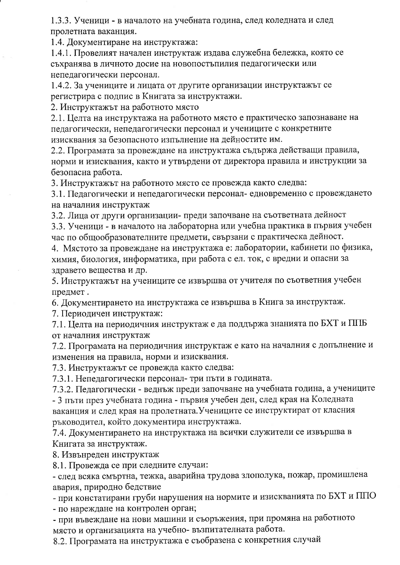1.3.3. Ученици - в началото на учебната година, след коледната и след пролетната ваканция.

1.4. Документиране на инструктажа:

1.4.1. Провелият начален инструктаж издава служебна бележка, която се съхранява в личното досие на новопостъпилия педагогически или непедагогически персонал.

1.4.2. За учениците и лицата от другите организации инструктажът се регистрира с подпис в Книгата за инструктажи.

2. Инструктажът на работното място

2.1. Целта на инструктажа на работното място е практическо запознаване на педагогически, непедагогически персонал и учениците с конкретните изисквания за безопасното изпълнение на дейностите им.

2.2. Програмата за провеждане на инструктажа съдържа действащи правила, норми и изисквания, както и утвърдени от директора правила и инструкции за безопасна работа.

3. Инструктажът на работното място се провежда както следва:

3.1. Педагогически и непедагогически персонал-едновременно с провеждането на началния инструктаж

3.2. Лица от други организации- преди започване на съответната дейност

3.3. Ученици - в началото на лабораторна или учебна практика в първия учебен час по общообразователните предмети, свързани с практическа дейност.

4. Мястото за провеждане на инструктажа е: лаборатории, кабинети по физика, химия, биология, информатика, при работа с ел. ток, с вредни и опасни за здравето вещества и др.

5. Инструктажът на учениците се извършва от учителя по съответния учебен предмет.

6. Документирането на инструктажа се извършва в Книга за инструктаж.

7. Периодичен инструктаж:

7.1. Целта на периодичния инструктаж е да поддържа знанията по БХТ и ППБ от началния инструктаж

7.2. Програмата на периодичния инструктаж е като на началния с допълнение и изменения на правила, норми и изисквания.

7.3. Инструктажът се провежда както следва:

7.3.1. Непедагогически персонал- три пъти в годината.

7.3.2. Педагогически - веднъж преди започване на учебната година, а учениците - 3 пъти през учебната година - първия учебен ден, след края на Коледната ваканция и след края на пролетната. Учениците се инструктират от класния ръководител, който документира инструктажа.

7.4. Документирането на инструктажа на всички служители се извършва в Книгата за инструктаж.

8. Извънреден инструктаж

8.1. Провежда се при следните случаи:

- след всяка смъртна, тежка, аварийна трудова злополука, пожар, промишлена авария, природно бедствие

- при констатирани груби нарушения на нормите и изискванията по БХТ и ППО

- по нареждане на контролен орган;

- при въвеждане на нови машини и съоръжения, при промяна на работното място и организацията на учебно-възпитателната работа.

8.2. Програмата на инструктажа е съобразена с конкретния случай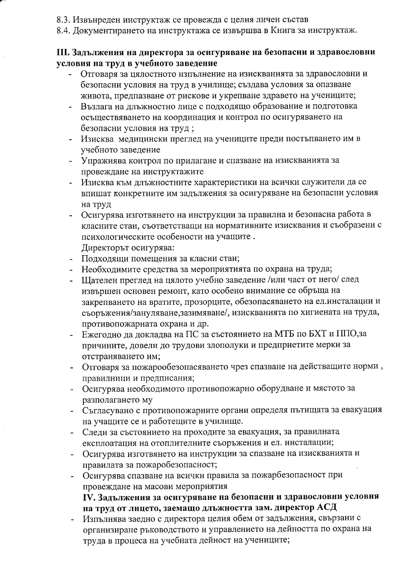- 8.3. Извънреден инструктаж се провежда с целия личен състав
- 8.4. Документирането на инструктажа се извършва в Книга за инструктаж.

#### III. Задължения на директора за осигуряване на безопасни и здравословни условия на труд в учебното заведение

- Отговаря за цялостното изпълнение на изискванията за здравословни и безопасни условия на труд в училище; създава условия за опазване живота, предпазване от рискове и укрепване здравето на учениците;
- Възлага на длъжностно лице с подходящо образование и подготовка осъществяването на координация и контрол по осигуряването на безопасни условия на труд;
- Изисква медицински преглед на учениците преди постъпването им в учебното заведение
- Упражнява контрол по прилагане и спазване на изискванията за провеждане на инструктажите
- Изисква към длъжностните характеристики на всички служители да се впишат конкретните им задължения за осигуряване на безопасни условия на труд
- Осигурява изготвянето на инструкции за правилна и безопасна работа в класните стаи, съответстващи на нормативните изисквания и съобразени с психологическите особености на учащите. Директорът осигурява:
- Подходящи помещения за класни стаи;
- Необходимите средства за мероприятията по охрана на труда;
- Щателен преглед на цялото учебно заведение /или част от него/ след извършен основен ремонт, като особено внимание се обръща на закрепването на вратите, прозорците, обезопасяването на ел.инсталации и съоръжения/зануляване, зазимяване/, изискванията по хигиената на труда, противопожарната охрана и др.
- Ежегодно да докладва на ПС за състоянието на МТБ по БХТ и ППО, за причините, довели до трудови злополуки и предприетите мерки за отстраняването им;
- Отговаря за пожарообезопасяването чрез спазване на действащите норми, правилници и предписания;
- Осигурява необходимото противопожарно оборудване и мястото за разполагането му
- Съгласувано с противопожарните органи определя пътищата за евакуация на учащите се и работещите в училище.
- Следи за състоянието на проходите за евакуация, за правилната експлоатация на отоплителните съоръжения и ел. инсталации;
- Осигурява изготвянето на инструкции за спазване на изискванията и правилата за пожаробезопасност;
- Осигурява спазване на всички правила за пожарбезопасност при провеждане на масови мероприятия

## IV. Задължения за осигуряване на безопасни и здравословни условия на труд от лицето, заемащо длъжността зам. директор АСД

Изпълнява заедно с директора целия обем от задължения, свързани с организиране ръководството и управлението на дейността по охрана на труда в процеса на учебната дейност на учениците;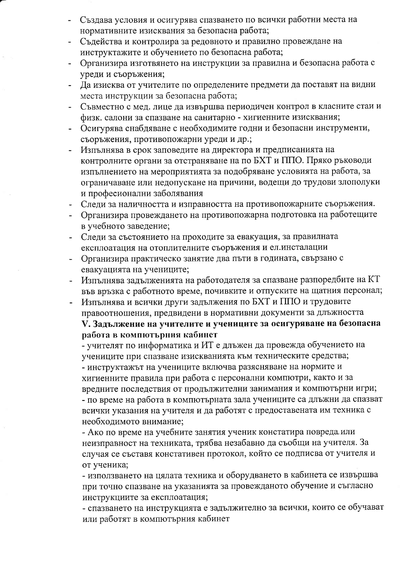- Създава условия и осигурява спазването по всички работни места на нормативните изисквания за безопасна работа;
- Съдейства и контролира за редовното и правилно провеждане на инструктажите и обучението по безопасна работа;
- Организира изготвянето на инструкции за правилна и безопасна работа с уреди и съоръжения;
- Да изисква от учителите по определените предмети да поставят на видни места инструкции за безопасна работа;
- Съвместно с мед. лице да извършва периодичен контрол в класните стаи и физк. салони за спазване на санитарно - хигиенните изисквания;
- Осигурява снабдяване с необходимите годни и безопасни инструменти, съоръжения, противопожарни уреди и др.;
- Изпълнява в срок заповедите на директора и предписанията на контролните органи за отстраняване на по БХТ и ППО. Пряко ръководи изпълнението на мероприятията за подобряване условията на работа, за ограничаване или недопускане на причини, водещи до трудови злополуки и професионални заболявания
- Следи за наличността и изправността на противопожарните съоръжения.
- Организира провеждането на противопожарна подготовка на работещите в учебното заведение;
- Следи за състоянието на проходите за евакуация, за правилната експлоатация на отоплителните съоръжения и ел.инсталации
- Организира практическо занятие два пъти в годината, свързано с евакуацията на учениците;
- Изпълнява задълженията на работодателя за спазване разпоредбите на КТ във връзка с работното време, почивките и отпуските на щатния персонал;
- Изпълнява и всички други задължения по БХТ и ППО и трудовите правоотношения, предвидени в нормативни документи за длъжността V. Задължение на учителите и учениците за осигуряване на безопасна работа в компютърния кабинет

- учителят по информатика и ИТ е длъжен да провежда обучението на учениците при спазване изискванията към техническите средства; - инструктажът на учениците включва разясняване на нормите и хигиенните правила при работа с персонални компютри, както и за вредните последствия от продължителни занимания и компютърни игри; - по време на работа в компютърната зала учениците са длъжни да спазват всички указания на учителя и да работят с предоставената им техника с необходимото внимание;

- Ако по време на учебните занятия ученик констатира повреда или неизправност на техниката, трябва незабавно да съобщи на учителя. За случая се съставя констативен протокол, който се подписва от учителя и от ученика;

- използването на цялата техника и оборудването в кабинета се извършва при точно спазване на указанията за провежданото обучение и съгласно инструкциите за експлоатация;

- спазването на инструкцията е задължително за всички, които се обучават или работят в компютърния кабинет